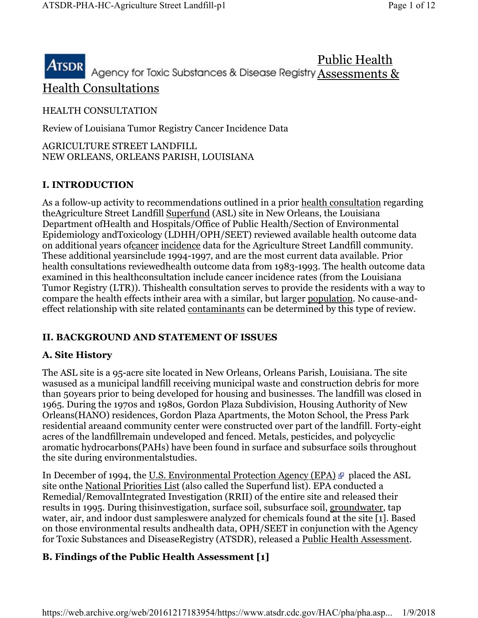# Public Health ATSDR Agency for Toxic Substances & Disease Registry Assessments & Health Consultations

## HEALTH CONSULTATION

Review of Louisiana Tumor Registry Cancer Incidence Data

AGRICULTURE STREET LANDFILL NEW ORLEANS, ORLEANS PARISH, LOUISIANA

# I. INTRODUCTION

As a follow-up activity to recommendations outlined in a prior health consultation regarding theAgriculture Street Landfill Superfund (ASL) site in New Orleans, the Louisiana Department ofHealth and Hospitals/Office of Public Health/Section of Environmental Epidemiology andToxicology (LDHH/OPH/SEET) reviewed available health outcome data on additional years ofcancer incidence data for the Agriculture Street Landfill community. These additional yearsinclude 1994-1997, and are the most current data available. Prior health consultations reviewedhealth outcome data from 1983-1993. The health outcome data examined in this healthconsultation include cancer incidence rates (from the Louisiana Tumor Registry (LTR)). Thishealth consultation serves to provide the residents with a way to compare the health effects intheir area with a similar, but larger population. No cause-andeffect relationship with site related contaminants can be determined by this type of review.

# II. BACKGROUND AND STATEMENT OF ISSUES

# A. Site History

The ASL site is a 95-acre site located in New Orleans, Orleans Parish, Louisiana. The site wasused as a municipal landfill receiving municipal waste and construction debris for more than 50years prior to being developed for housing and businesses. The landfill was closed in 1965. During the 1970s and 1980s, Gordon Plaza Subdivision, Housing Authority of New Orleans(HANO) residences, Gordon Plaza Apartments, the Moton School, the Press Park residential areaand community center were constructed over part of the landfill. Forty-eight acres of the landfillremain undeveloped and fenced. Metals, pesticides, and polycyclic aromatic hydrocarbons(PAHs) have been found in surface and subsurface soils throughout the site during environmentalstudies.

In December of 1994, the U.S. Environmental Protection Agency (EPA)  $\Phi$  placed the ASL site onthe National Priorities List (also called the Superfund list). EPA conducted a Remedial/RemovalIntegrated Investigation (RRII) of the entire site and released their results in 1995. During thisinvestigation, surface soil, subsurface soil, groundwater, tap water, air, and indoor dust sampleswere analyzed for chemicals found at the site [1]. Based on those environmental results andhealth data, OPH/SEET in conjunction with the Agency for Toxic Substances and DiseaseRegistry (ATSDR), released a Public Health Assessment.

# B. Findings of the Public Health Assessment [1]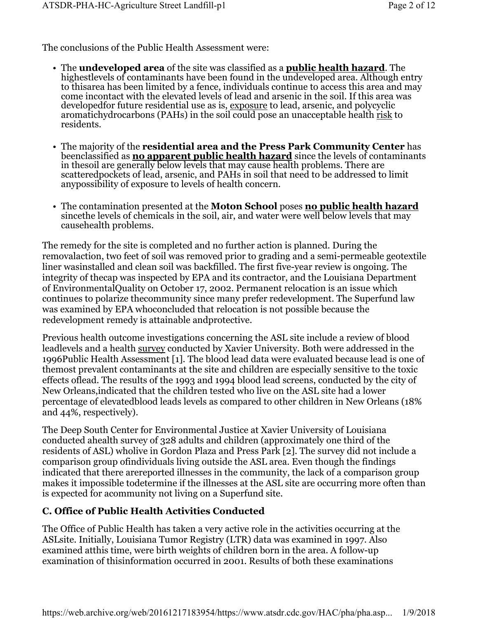The conclusions of the Public Health Assessment were:

- The undeveloped area of the site was classified as a **public health hazard**. The highestlevels of contaminants have been found in the undeveloped area. Although entry to thisarea has been limited by a fence, individuals continue to access this area and may come incontact with the elevated levels of lead and arsenic in the soil. If this area was developedfor future residential use as is, exposure to lead, arsenic, and polycyclic aromatichydrocarbons (PAHs) in the soil could pose an unacceptable health risk to residents.
- The majority of the residential area and the Press Park Community Center has beenclassified as **<u>no apparent public health hazard</u>** since the levels of contaminants in thesoil are generally below levels that may cause health problems. There are scatteredpockets of lead, arsenic, and PAHs in soil that need to be addressed to limit anypossibility of exposure to levels of health concern.
- The contamination presented at the Moton School poses no public health hazard sincethe levels of chemicals in the soil, air, and water were well below levels that may causehealth problems.

The remedy for the site is completed and no further action is planned. During the removalaction, two feet of soil was removed prior to grading and a semi-permeable geotextile liner wasinstalled and clean soil was backfilled. The first five-year review is ongoing. The integrity of thecap was inspected by EPA and its contractor, and the Louisiana Department of EnvironmentalQuality on October 17, 2002. Permanent relocation is an issue which continues to polarize thecommunity since many prefer redevelopment. The Superfund law was examined by EPA whoconcluded that relocation is not possible because the redevelopment remedy is attainable andprotective.

Previous health outcome investigations concerning the ASL site include a review of blood leadlevels and a health survey conducted by Xavier University. Both were addressed in the 1996Public Health Assessment [1]. The blood lead data were evaluated because lead is one of themost prevalent contaminants at the site and children are especially sensitive to the toxic effects oflead. The results of the 1993 and 1994 blood lead screens, conducted by the city of New Orleans,indicated that the children tested who live on the ASL site had a lower percentage of elevatedblood leads levels as compared to other children in New Orleans (18% and 44%, respectively).

The Deep South Center for Environmental Justice at Xavier University of Louisiana conducted ahealth survey of 328 adults and children (approximately one third of the residents of ASL) wholive in Gordon Plaza and Press Park [2]. The survey did not include a comparison group ofindividuals living outside the ASL area. Even though the findings indicated that there arereported illnesses in the community, the lack of a comparison group makes it impossible todetermine if the illnesses at the ASL site are occurring more often than is expected for acommunity not living on a Superfund site.

## C. Office of Public Health Activities Conducted

The Office of Public Health has taken a very active role in the activities occurring at the ASLsite. Initially, Louisiana Tumor Registry (LTR) data was examined in 1997. Also examined atthis time, were birth weights of children born in the area. A follow-up examination of thisinformation occurred in 2001. Results of both these examinations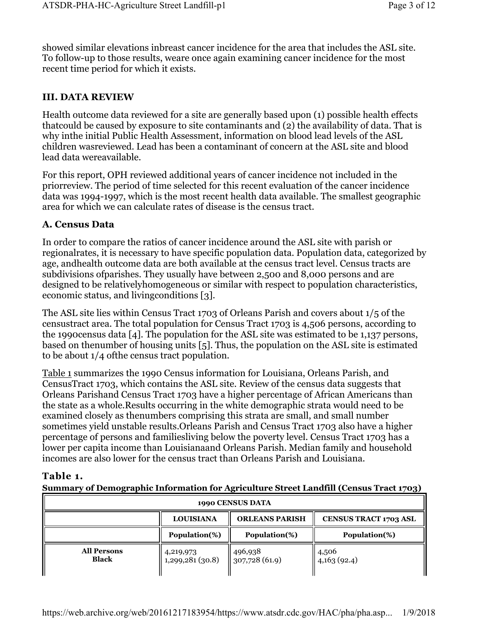showed similar elevations inbreast cancer incidence for the area that includes the ASL site. To follow-up to those results, weare once again examining cancer incidence for the most recent time period for which it exists.

## III. DATA REVIEW

Health outcome data reviewed for a site are generally based upon (1) possible health effects thatcould be caused by exposure to site contaminants and (2) the availability of data. That is why inthe initial Public Health Assessment, information on blood lead levels of the ASL children wasreviewed. Lead has been a contaminant of concern at the ASL site and blood lead data wereavailable.

For this report, OPH reviewed additional years of cancer incidence not included in the priorreview. The period of time selected for this recent evaluation of the cancer incidence data was 1994-1997, which is the most recent health data available. The smallest geographic area for which we can calculate rates of disease is the census tract.

## A. Census Data

In order to compare the ratios of cancer incidence around the ASL site with parish or regionalrates, it is necessary to have specific population data. Population data, categorized by age, andhealth outcome data are both available at the census tract level. Census tracts are subdivisions ofparishes. They usually have between 2,500 and 8,000 persons and are designed to be relativelyhomogeneous or similar with respect to population characteristics, economic status, and livingconditions [3].

The ASL site lies within Census Tract 1703 of Orleans Parish and covers about 1/5 of the censustract area. The total population for Census Tract 1703 is 4,506 persons, according to the 1990census data [4]. The population for the ASL site was estimated to be 1,137 persons, based on thenumber of housing units [5]. Thus, the population on the ASL site is estimated to be about 1/4 ofthe census tract population.

Table 1 summarizes the 1990 Census information for Louisiana, Orleans Parish, and CensusTract 1703, which contains the ASL site. Review of the census data suggests that Orleans Parishand Census Tract 1703 have a higher percentage of African Americans than the state as a whole.Results occurring in the white demographic strata would need to be examined closely as thenumbers comprising this strata are small, and small number sometimes yield unstable results.Orleans Parish and Census Tract 1703 also have a higher percentage of persons and familiesliving below the poverty level. Census Tract 1703 has a lower per capita income than Louisianaand Orleans Parish. Median family and household incomes are also lower for the census tract than Orleans Parish and Louisiana.

## Table 1.

#### Summary of Demographic Information for Agriculture Street Landfill (Census Tract 1703)

| 1990 CENSUS DATA            |                               |                          |                              |  |  |  |  |
|-----------------------------|-------------------------------|--------------------------|------------------------------|--|--|--|--|
|                             | <b>LOUISIANA</b>              | <b>ORLEANS PARISH</b>    | <b>CENSUS TRACT 1703 ASL</b> |  |  |  |  |
|                             | Population(%)                 | Population(%)            | Population(%)                |  |  |  |  |
| <b>All Persons</b><br>Black | 4,219,973<br>1,299,281 (30.8) | 496,938<br>307,728(61.9) | 4,506<br>4,163(92.4)         |  |  |  |  |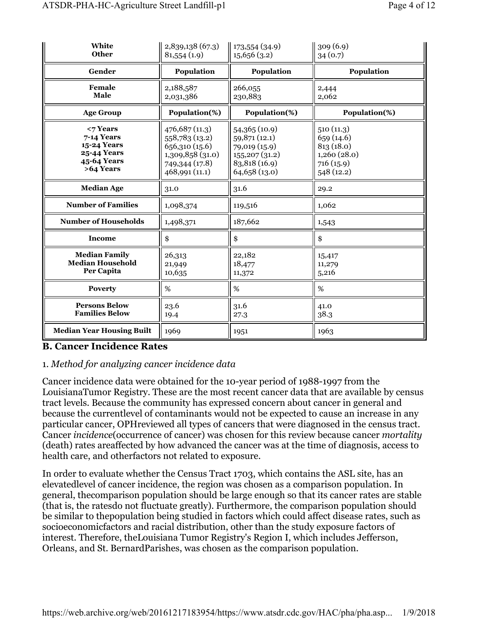| White<br><b>Other</b>                                                                      | 2,839,138 (67.3)<br>81,554(1.9)                                                                            | 173,554 (34.9)<br>15,656(3.2)                                                                      | 309(6.9)<br>34(0.7)                                                            |  |
|--------------------------------------------------------------------------------------------|------------------------------------------------------------------------------------------------------------|----------------------------------------------------------------------------------------------------|--------------------------------------------------------------------------------|--|
| Gender                                                                                     | Population                                                                                                 | Population                                                                                         | Population                                                                     |  |
| Female<br><b>Male</b>                                                                      | 2,188,587<br>2,031,386                                                                                     | 266,055<br>230,883                                                                                 | 2,444<br>2,062                                                                 |  |
| <b>Age Group</b>                                                                           | Population(%)                                                                                              | Population(%)                                                                                      | Population(%)                                                                  |  |
| $<$ 7 Years<br>7-14 Years<br>15-24 Years<br><b>25-44 Years</b><br>45-64 Years<br>>64 Years | 476,687 (11.3)<br>558,783 (13.2)<br>656,310 (15.6)<br>1,309,858 (31.0)<br>749,344 (17.8)<br>468,991 (11.1) | 54,365 (10.9)<br>59,871 (12.1)<br>79,019 (15.9)<br>155,207(31.2)<br>83,818 (16.9)<br>64,658 (13.0) | 510(11.3)<br>659(14.6)<br>813 (18.0)<br>1,260(28.0)<br>716(15.9)<br>548 (12.2) |  |
| <b>Median Age</b>                                                                          | 31.0                                                                                                       | 31.6                                                                                               | 29.2                                                                           |  |
| <b>Number of Families</b>                                                                  | 1,098,374                                                                                                  | 119,516                                                                                            | 1,062                                                                          |  |
| <b>Number of Households</b>                                                                | 1,498,371                                                                                                  | 187,662                                                                                            | 1,543                                                                          |  |
| Income                                                                                     | \$                                                                                                         | \$                                                                                                 | \$                                                                             |  |
| <b>Median Family</b><br><b>Median Household</b><br>Per Capita                              | 26,313<br>21,949<br>10,635                                                                                 | 22,182<br>18,477<br>11,372                                                                         | 15,417<br>11,279<br>5,216                                                      |  |
| <b>Poverty</b>                                                                             | %                                                                                                          | %                                                                                                  | %                                                                              |  |
| <b>Persons Below</b><br><b>Families Below</b>                                              | 23.6<br>19.4                                                                                               | 31.6<br>27.3                                                                                       | 41.0<br>38.3                                                                   |  |
| <b>Median Year Housing Built</b>                                                           | 1969                                                                                                       | 1951                                                                                               | 1963                                                                           |  |

#### B. Cancer Incidence Rates

#### 1. Method for analyzing cancer incidence data

Cancer incidence data were obtained for the 10-year period of 1988-1997 from the LouisianaTumor Registry. These are the most recent cancer data that are available by census tract levels. Because the community has expressed concern about cancer in general and because the currentlevel of contaminants would not be expected to cause an increase in any particular cancer, OPHreviewed all types of cancers that were diagnosed in the census tract. Cancer incidence(occurrence of cancer) was chosen for this review because cancer mortality (death) rates areaffected by how advanced the cancer was at the time of diagnosis, access to health care, and otherfactors not related to exposure.

In order to evaluate whether the Census Tract 1703, which contains the ASL site, has an elevatedlevel of cancer incidence, the region was chosen as a comparison population. In general, thecomparison population should be large enough so that its cancer rates are stable (that is, the ratesdo not fluctuate greatly). Furthermore, the comparison population should be similar to thepopulation being studied in factors which could affect disease rates, such as socioeconomicfactors and racial distribution, other than the study exposure factors of interest. Therefore, theLouisiana Tumor Registry's Region I, which includes Jefferson, Orleans, and St. BernardParishes, was chosen as the comparison population.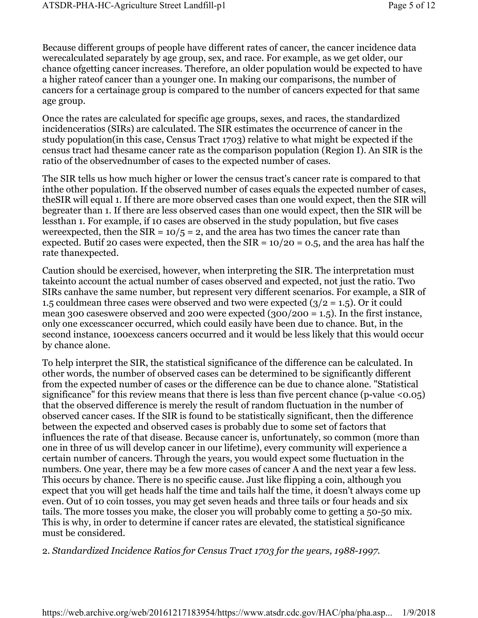Because different groups of people have different rates of cancer, the cancer incidence data werecalculated separately by age group, sex, and race. For example, as we get older, our chance ofgetting cancer increases. Therefore, an older population would be expected to have a higher rateof cancer than a younger one. In making our comparisons, the number of cancers for a certainage group is compared to the number of cancers expected for that same age group.

Once the rates are calculated for specific age groups, sexes, and races, the standardized incidenceratios (SIRs) are calculated. The SIR estimates the occurrence of cancer in the study population(in this case, Census Tract 1703) relative to what might be expected if the census tract had thesame cancer rate as the comparison population (Region I). An SIR is the ratio of the observednumber of cases to the expected number of cases.

The SIR tells us how much higher or lower the census tract's cancer rate is compared to that inthe other population. If the observed number of cases equals the expected number of cases, theSIR will equal 1. If there are more observed cases than one would expect, then the SIR will begreater than 1. If there are less observed cases than one would expect, then the SIR will be lessthan 1. For example, if 10 cases are observed in the study population, but five cases were expected, then the SIR =  $10/5$  = 2, and the area has two times the cancer rate than expected. Butif 20 cases were expected, then the  $SIR = 10/20 = 0.5$ , and the area has half the rate thanexpected.

Caution should be exercised, however, when interpreting the SIR. The interpretation must takeinto account the actual number of cases observed and expected, not just the ratio. Two SIRs canhave the same number, but represent very different scenarios. For example, a SIR of 1.5 couldmean three cases were observed and two were expected  $(3/2 = 1.5)$ . Or it could mean 300 caseswere observed and 200 were expected  $(300/200 = 1.5)$ . In the first instance, only one excesscancer occurred, which could easily have been due to chance. But, in the second instance, 100excess cancers occurred and it would be less likely that this would occur by chance alone.

To help interpret the SIR, the statistical significance of the difference can be calculated. In other words, the number of observed cases can be determined to be significantly different from the expected number of cases or the difference can be due to chance alone. "Statistical significance" for this review means that there is less than five percent chance (p-value  $\langle 0.05 \rangle$ ) that the observed difference is merely the result of random fluctuation in the number of observed cancer cases. If the SIR is found to be statistically significant, then the difference between the expected and observed cases is probably due to some set of factors that influences the rate of that disease. Because cancer is, unfortunately, so common (more than one in three of us will develop cancer in our lifetime), every community will experience a certain number of cancers. Through the years, you would expect some fluctuation in the numbers. One year, there may be a few more cases of cancer A and the next year a few less. This occurs by chance. There is no specific cause. Just like flipping a coin, although you expect that you will get heads half the time and tails half the time, it doesn't always come up even. Out of 10 coin tosses, you may get seven heads and three tails or four heads and six tails. The more tosses you make, the closer you will probably come to getting a 50-50 mix. This is why, in order to determine if cancer rates are elevated, the statistical significance must be considered.

#### 2. Standardized Incidence Ratios for Census Tract 1703 for the years, 1988-1997.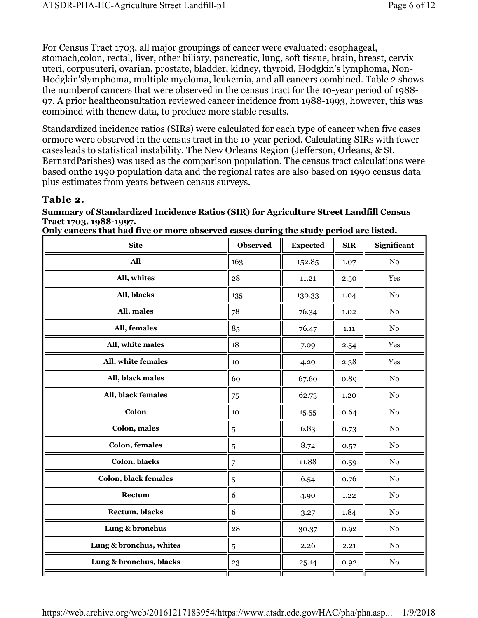For Census Tract 1703, all major groupings of cancer were evaluated: esophageal, stomach,colon, rectal, liver, other biliary, pancreatic, lung, soft tissue, brain, breast, cervix uteri, corpusuteri, ovarian, prostate, bladder, kidney, thyroid, Hodgkin's lymphoma, Non-Hodgkin'slymphoma, multiple myeloma, leukemia, and all cancers combined. Table 2 shows the numberof cancers that were observed in the census tract for the 10-year period of 1988- 97. A prior healthconsultation reviewed cancer incidence from 1988-1993, however, this was combined with thenew data, to produce more stable results.

Standardized incidence ratios (SIRs) were calculated for each type of cancer when five cases ormore were observed in the census tract in the 10-year period. Calculating SIRs with fewer casesleads to statistical instability. The New Orleans Region (Jefferson, Orleans, & St. BernardParishes) was used as the comparison population. The census tract calculations were based onthe 1990 population data and the regional rates are also based on 1990 census data plus estimates from years between census surveys.

## Table 2.

#### Summary of Standardized Incidence Ratios (SIR) for Agriculture Street Landfill Census Tract 1703, 1988-1997.

Only cancers that had five or more observed cases during the study period are listed.

| <b>Site</b>                 | <b>Observed</b> | <b>Expected</b> | <b>SIR</b> | Significant |
|-----------------------------|-----------------|-----------------|------------|-------------|
| All                         | 163             | 152.85          | 1.07       | $\rm No$    |
| All, whites                 | 28              | 11.21           | 2.50       | Yes         |
| All, blacks                 | 135             | 130.33          | 1.04       | $\rm No$    |
| All, males                  | 78              | 76.34           | 1.02       | $\rm No$    |
| All, females                | 85              | 76.47           | $1.11\,$   | No          |
| All, white males            | $18\,$          | 7.09            | 2.54       | Yes         |
| All, white females          | 10              | 4.20            | 2.38       | Yes         |
| All, black males            | 60              | 67.60           | 0.89       | $\rm No$    |
| All, black females          | 75              | 62.73           | 1.20       | No          |
| Colon                       | 10              | 15.55           | 0.64       | $\rm No$    |
| Colon, males                | $\sqrt{5}$      | 6.83            | 0.73       | No          |
| <b>Colon, females</b>       | $\sqrt{5}$      | 8.72            | 0.57       | $\rm No$    |
| Colon, blacks               | 7               | 11.88           | 0.59       | No          |
| <b>Colon, black females</b> | $\bf 5$         | 6.54            | 0.76       | No          |
| Rectum                      | 6               | 4.90            | 1.22       | No          |
| Rectum, blacks              | 6               | 3.27            | 1.84       | $\rm No$    |
| Lung & bronchus             | 28              | 30.37           | 0.92       | No          |
| Lung & bronchus, whites     | $\sqrt{5}$      | 2.26            | 2.21       | $\rm No$    |
| Lung & bronchus, blacks     | 23              | 25.14           | 0.92       | $\rm No$    |
|                             |                 |                 |            |             |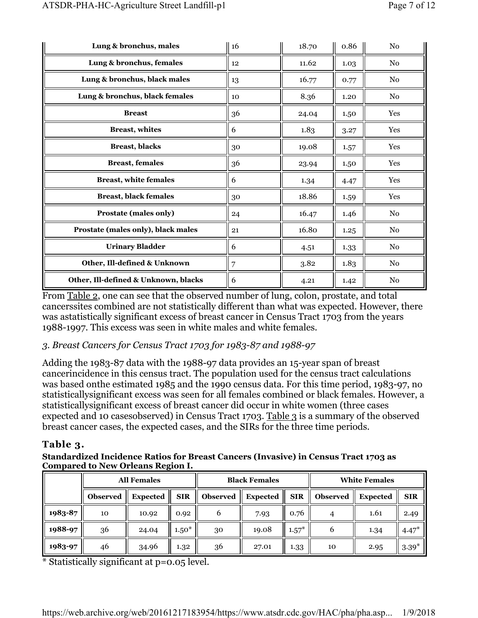| Lung & bronchus, males               | 16 | 18.70 | 0.86 | No             |
|--------------------------------------|----|-------|------|----------------|
| Lung & bronchus, females             | 12 | 11.62 | 1.03 | No             |
| Lung & bronchus, black males         | 13 | 16.77 | 0.77 | No             |
| Lung & bronchus, black females       | 10 | 8.36  | 1.20 | No             |
| <b>Breast</b>                        | 36 | 24.04 | 1.50 | Yes            |
| <b>Breast</b> , whites               | 6  | 1.83  | 3.27 | Yes            |
| <b>Breast</b> , blacks               | 30 | 19.08 | 1.57 | Yes            |
| <b>Breast, females</b>               | 36 | 23.94 | 1.50 | Yes            |
| <b>Breast, white females</b>         | 6  | 1.34  | 4.47 | Yes            |
| <b>Breast, black females</b>         | 30 | 18.86 | 1.59 | Yes            |
| Prostate (males only)                | 24 | 16.47 | 1.46 | No             |
| Prostate (males only), black males   | 21 | 16.80 | 1.25 | No             |
| <b>Urinary Bladder</b>               | 6  | 4.51  | 1.33 | N <sub>0</sub> |
| Other, Ill-defined & Unknown         | 7  | 3.82  | 1.83 | No             |
| Other, Ill-defined & Unknown, blacks | 6  | 4.21  | 1.42 | No             |

From Table 2, one can see that the observed number of lung, colon, prostate, and total cancerssites combined are not statistically different than what was expected. However, there was astatistically significant excess of breast cancer in Census Tract 1703 from the years 1988-1997. This excess was seen in white males and white females.

## 3. Breast Cancers for Census Tract 1703 for 1983-87 and 1988-97

Adding the 1983-87 data with the 1988-97 data provides an 15-year span of breast cancerincidence in this census tract. The population used for the census tract calculations was based onthe estimated 1985 and the 1990 census data. For this time period, 1983-97, no statisticallysignificant excess was seen for all females combined or black females. However, a statisticallysignificant excess of breast cancer did occur in white women (three cases expected and 10 casesobserved) in Census Tract 1703. Table 3 is a summary of the observed breast cancer cases, the expected cases, and the SIRs for the three time periods.

## Table 3.

Standardized Incidence Ratios for Breast Cancers (Invasive) in Census Tract 1703 as Compared to New Orleans Region I.

|         | <b>All Females</b> |                 |            |                 | <b>Black Females</b> |            | <b>White Females</b> |                 |            |
|---------|--------------------|-----------------|------------|-----------------|----------------------|------------|----------------------|-----------------|------------|
|         | <b>Observed</b>    | <b>Expected</b> | <b>SIR</b> | <b>Observed</b> | <b>Expected</b>      | <b>SIR</b> | <b>Observed</b>      | <b>Expected</b> | <b>SIR</b> |
| 1983-87 | 10                 | 10.92           | 0.92       | 6               | 7.93                 | 0.76       | 4                    | 1.61            | 2.49       |
| 1988-97 | 36                 | 24.04           | $1.50*$    | 30              | 19.08                | $1.57*$    | 6                    | 1.34            | $4.47*$    |
| 1983-97 | 46                 | 34.96           | 1.32       | 36              | 27.01                | 1.33       | 10                   | 2.95            | $3.39*$    |

\* Statistically significant at p=0.05 level.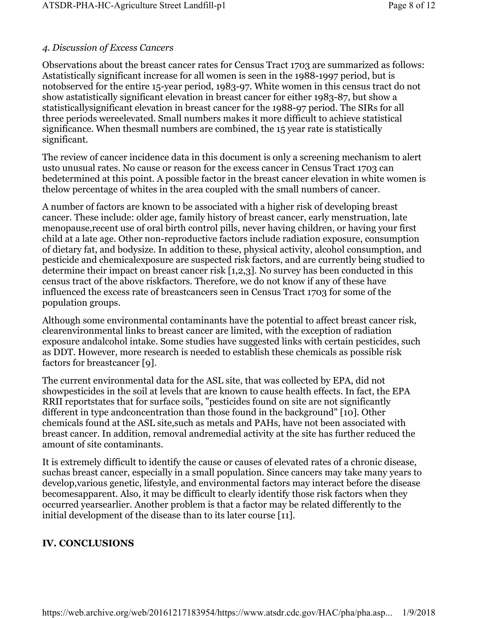## 4. Discussion of Excess Cancers

Observations about the breast cancer rates for Census Tract 1703 are summarized as follows: Astatistically significant increase for all women is seen in the 1988-1997 period, but is notobserved for the entire 15-year period, 1983-97. White women in this census tract do not show astatistically significant elevation in breast cancer for either 1983-87, but show a statisticallysignificant elevation in breast cancer for the 1988-97 period. The SIRs for all three periods wereelevated. Small numbers makes it more difficult to achieve statistical significance. When thesmall numbers are combined, the 15 year rate is statistically significant.

The review of cancer incidence data in this document is only a screening mechanism to alert usto unusual rates. No cause or reason for the excess cancer in Census Tract 1703 can bedetermined at this point. A possible factor in the breast cancer elevation in white women is thelow percentage of whites in the area coupled with the small numbers of cancer.

A number of factors are known to be associated with a higher risk of developing breast cancer. These include: older age, family history of breast cancer, early menstruation, late menopause,recent use of oral birth control pills, never having children, or having your first child at a late age. Other non-reproductive factors include radiation exposure, consumption of dietary fat, and bodysize. In addition to these, physical activity, alcohol consumption, and pesticide and chemicalexposure are suspected risk factors, and are currently being studied to determine their impact on breast cancer risk [1,2,3]. No survey has been conducted in this census tract of the above riskfactors. Therefore, we do not know if any of these have influenced the excess rate of breastcancers seen in Census Tract 1703 for some of the population groups.

Although some environmental contaminants have the potential to affect breast cancer risk, clearenvironmental links to breast cancer are limited, with the exception of radiation exposure andalcohol intake. Some studies have suggested links with certain pesticides, such as DDT. However, more research is needed to establish these chemicals as possible risk factors for breastcancer [9].

The current environmental data for the ASL site, that was collected by EPA, did not showpesticides in the soil at levels that are known to cause health effects. In fact, the EPA RRII reportstates that for surface soils, "pesticides found on site are not significantly different in type andconcentration than those found in the background" [10]. Other chemicals found at the ASL site,such as metals and PAHs, have not been associated with breast cancer. In addition, removal andremedial activity at the site has further reduced the amount of site contaminants.

It is extremely difficult to identify the cause or causes of elevated rates of a chronic disease, suchas breast cancer, especially in a small population. Since cancers may take many years to develop,various genetic, lifestyle, and environmental factors may interact before the disease becomesapparent. Also, it may be difficult to clearly identify those risk factors when they occurred yearsearlier. Another problem is that a factor may be related differently to the initial development of the disease than to its later course [11].

## IV. CONCLUSIONS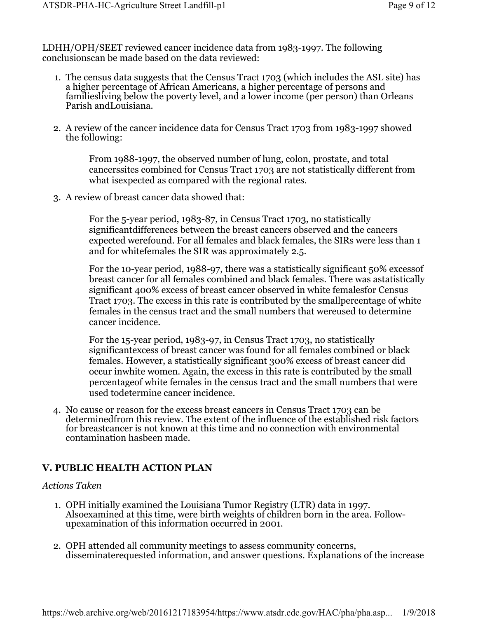LDHH/OPH/SEET reviewed cancer incidence data from 1983-1997. The following conclusionscan be made based on the data reviewed:

- 1. The census data suggests that the Census Tract 1703 (which includes the ASL site) has a higher percentage of African Americans, a higher percentage of persons and familiesliving below the poverty level, and a lower income (per person) than Orleans Parish andLouisiana.
- 2. A review of the cancer incidence data for Census Tract 1703 from 1983-1997 showed the following:

From 1988-1997, the observed number of lung, colon, prostate, and total cancerssites combined for Census Tract 1703 are not statistically different from what isexpected as compared with the regional rates.

3. A review of breast cancer data showed that:

For the 5-year period, 1983-87, in Census Tract 1703, no statistically significantdifferences between the breast cancers observed and the cancers expected werefound. For all females and black females, the SIRs were less than 1 and for whitefemales the SIR was approximately 2.5.

For the 10-year period, 1988-97, there was a statistically significant 50% excessof breast cancer for all females combined and black females. There was astatistically significant 400% excess of breast cancer observed in white femalesfor Census Tract 1703. The excess in this rate is contributed by the smallpercentage of white females in the census tract and the small numbers that wereused to determine cancer incidence.

For the 15-year period, 1983-97, in Census Tract 1703, no statistically significantexcess of breast cancer was found for all females combined or black females. However, a statistically significant 300% excess of breast cancer did occur inwhite women. Again, the excess in this rate is contributed by the small percentageof white females in the census tract and the small numbers that were used todetermine cancer incidence.

4. No cause or reason for the excess breast cancers in Census Tract 1703 can be determinedfrom this review. The extent of the influence of the established risk factors for breastcancer is not known at this time and no connection with environmental contamination hasbeen made.

## V. PUBLIC HEALTH ACTION PLAN

#### Actions Taken

- 1. OPH initially examined the Louisiana Tumor Registry (LTR) data in 1997. Alsoexamined at this time, were birth weights of children born in the area. Followupexamination of this information occurred in 2001.
- 2. OPH attended all community meetings to assess community concerns, disseminaterequested information, and answer questions. Explanations of the increase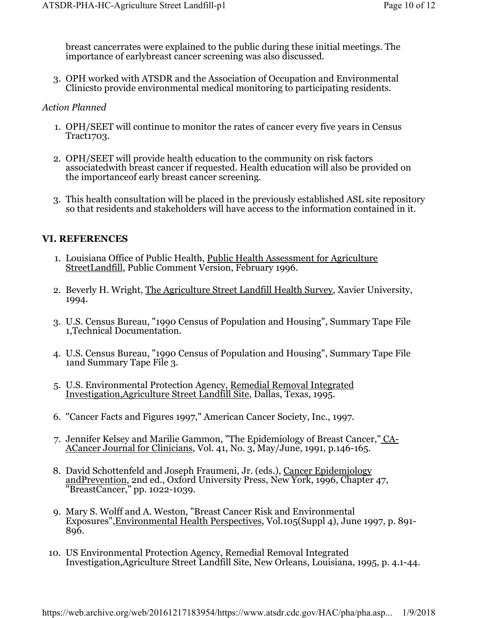breast cancerrates were explained to the public during these initial meetings. The importance of earlybreast cancer screening was also discussed.

3. OPH worked with ATSDR and the Association of Occupation and Environmental Clinicsto provide environmental medical monitoring to participating residents.

#### Action Planned

- 1. OPH/SEET will continue to monitor the rates of cancer every five years in Census Tract1703.
- 2. OPH/SEET will provide health education to the community on risk factors associatedwith breast cancer if requested. Health education will also be provided on the importanceof early breast cancer screening.
- 3. This health consultation will be placed in the previously established ASL site repository so that residents and stakeholders will have access to the information contained in it.

#### VI. REFERENCES

- 1. Louisiana Office of Public Health, Public Health Assessment for Agriculture StreetLandfill, Public Comment Version, February 1996.
- 2. Beverly H. Wright, The Agriculture Street Landfill Health Survey, Xavier University, 1994.
- 3. U.S. Census Bureau, "1990 Census of Population and Housing", Summary Tape File 1,Technical Documentation.
- 4. U.S. Census Bureau, "1990 Census of Population and Housing", Summary Tape File 1and Summary Tape File 3.
- 5. U.S. Environmental Protection Agency, Remedial Removal Integrated Investigation,Agriculture Street Landfill Site, Dallas, Texas, 1995.
- 6. "Cancer Facts and Figures 1997," American Cancer Society, Inc., 1997.
- 7. Jennifer Kelsey and Marilie Gammon, "The Epidemiology of Breast Cancer," CA-ACancer Journal for Clinicians, Vol. 41, No. 3, May/June, 1991, p.146-165.
- 8. David Schottenfeld and Joseph Fraumeni, Jr. (eds.), Cancer Epidemiology andPrevention, 2nd ed., Oxford University Press, New York, 1996, Chapter 47, "BreastCancer," pp. 1022-1039.
- 9. Mary S. Wolff and A. Weston, "Breast Cancer Risk and Environmental Exposures",Environmental Health Perspectives, Vol.105(Suppl 4), June 1997, p. 891- 896.
- 10. US Environmental Protection Agency, Remedial Removal Integrated Investigation,Agriculture Street Landfill Site, New Orleans, Louisiana, 1995, p. 4.1-44.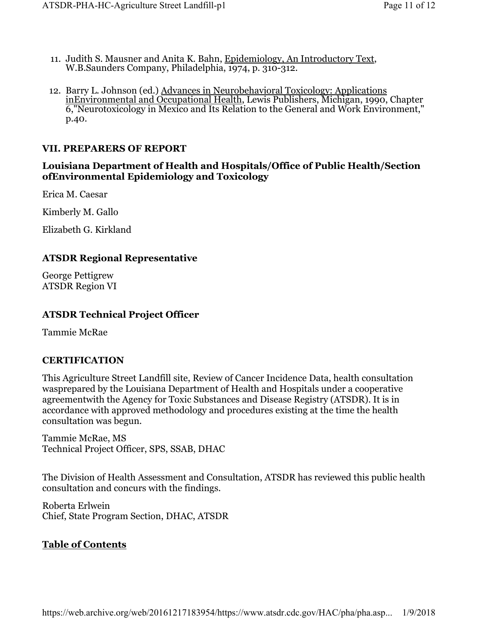- 11. Judith S. Mausner and Anita K. Bahn, Epidemiology, An Introductory Text, W.B.Saunders Company, Philadelphia, 1974, p. 310-312.
- 12. Barry L. Johnson (ed.) Advances in Neurobehavioral Toxicology: Applications inEnvironmental and Occupational Health, Lewis Publishers, Michigan, 1990, Chapter 6,"Neurotoxicology in Mexico and Its Relation to the General and Work Environment," p.40.

### VII. PREPARERS OF REPORT

### Louisiana Department of Health and Hospitals/Office of Public Health/Section ofEnvironmental Epidemiology and Toxicology

Erica M. Caesar

Kimberly M. Gallo

Elizabeth G. Kirkland

#### ATSDR Regional Representative

George Pettigrew ATSDR Region VI

### ATSDR Technical Project Officer

Tammie McRae

## **CERTIFICATION**

This Agriculture Street Landfill site, Review of Cancer Incidence Data, health consultation wasprepared by the Louisiana Department of Health and Hospitals under a cooperative agreementwith the Agency for Toxic Substances and Disease Registry (ATSDR). It is in accordance with approved methodology and procedures existing at the time the health consultation was begun.

Tammie McRae, MS Technical Project Officer, SPS, SSAB, DHAC

The Division of Health Assessment and Consultation, ATSDR has reviewed this public health consultation and concurs with the findings.

Roberta Erlwein Chief, State Program Section, DHAC, ATSDR

#### Table of Contents